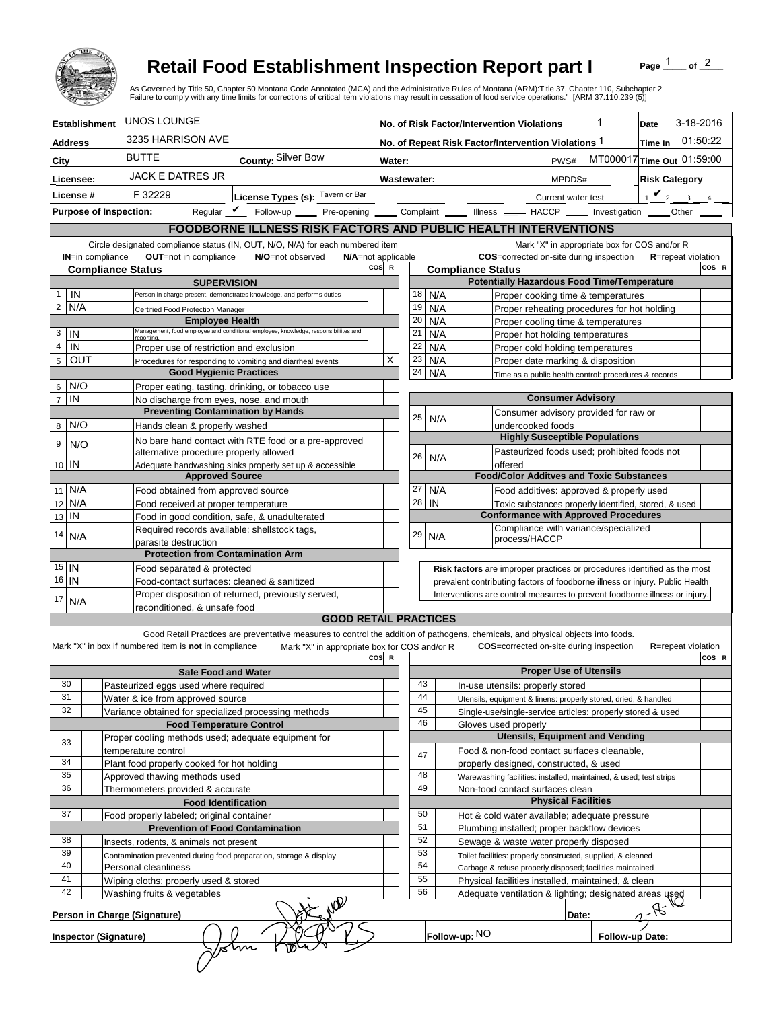

## **Retail Food Establishment Inspection Report part I**

Page  $\frac{1}{1}$  of  $\frac{2}{1}$ 

|                                  |                               |                                                                                         | <b>Retail Food Establishment Inspection Report part I</b><br>As Governed by Title 50, Chapter 50 Montana Code Annotated (MCA) and the Administrative Rules of Montana (ARM):Title 37, Chapter 110, Subchapter 2<br>Failure to comply with any time limits for corrections of critical item violations may result in cessation of food service operations." [ARM 37.110.239 (5)] |      |                                         |             |  |               |                                                                                    |                                | Page                       | of $^2$ |       |
|----------------------------------|-------------------------------|-----------------------------------------------------------------------------------------|---------------------------------------------------------------------------------------------------------------------------------------------------------------------------------------------------------------------------------------------------------------------------------------------------------------------------------------------------------------------------------|------|-----------------------------------------|-------------|--|---------------|------------------------------------------------------------------------------------|--------------------------------|----------------------------|---------|-------|
|                                  | <b>Establishment</b>          | UNOS LOUNGE                                                                             |                                                                                                                                                                                                                                                                                                                                                                                 |      |                                         |             |  |               | No. of Risk Factor/Intervention Violations                                         |                                | 3-18-2016<br>Date          |         |       |
| <b>Address</b>                   |                               | 3235 HARRISON AVE                                                                       |                                                                                                                                                                                                                                                                                                                                                                                 |      |                                         |             |  |               | No. of Repeat Risk Factor/Intervention Violations 1                                |                                | 01:50:22<br>Time In        |         |       |
| City                             |                               | <b>BUTTE</b>                                                                            | County: Silver Bow                                                                                                                                                                                                                                                                                                                                                              |      |                                         | Water:      |  |               | PWS#                                                                               |                                | MT000017 Time Out 01:59:00 |         |       |
|                                  |                               | <b>JACK E DATRES JR</b>                                                                 |                                                                                                                                                                                                                                                                                                                                                                                 |      |                                         | Wastewater: |  |               | MPDDS#                                                                             | <b>Risk Category</b>           |                            |         |       |
| Licensee:<br>License #           |                               | F 32229                                                                                 |                                                                                                                                                                                                                                                                                                                                                                                 |      |                                         |             |  |               |                                                                                    | $\mathbf{v}_2$<br>$\mathbf{R}$ |                            |         |       |
|                                  | <b>Purpose of Inspection:</b> |                                                                                         | License Types (s): Tavern or Bar<br>Regular $\triangledown$ Follow-up<br>Pre-opening                                                                                                                                                                                                                                                                                            |      | Complaint                               |             |  |               | Current water test<br>Illness —<br>$-$ HACCP $\_\_$<br>Investigation               |                                |                            |         |       |
|                                  |                               |                                                                                         |                                                                                                                                                                                                                                                                                                                                                                                 |      |                                         |             |  |               |                                                                                    |                                | Other                      |         |       |
|                                  |                               |                                                                                         | <b>FOODBORNE ILLNESS RISK FACTORS AND PUBLIC HEALTH INTERVENTIONS</b>                                                                                                                                                                                                                                                                                                           |      |                                         |             |  |               | Mark "X" in appropriate box for COS and/or R                                       |                                |                            |         |       |
|                                  | <b>IN=in compliance</b>       | OUT=not in compliance                                                                   | Circle designated compliance status (IN, OUT, N/O, N/A) for each numbered item<br>N/O=not observed<br>N/A=not applicable                                                                                                                                                                                                                                                        |      |                                         |             |  |               | COS=corrected on-site during inspection                                            |                                | <b>R</b> =repeat violation |         |       |
|                                  | <b>Compliance Status</b>      | cos                                                                                     |                                                                                                                                                                                                                                                                                                                                                                                 |      | $\mathbf R$<br><b>Compliance Status</b> |             |  |               |                                                                                    |                                |                            | COS R   |       |
|                                  |                               | <b>SUPERVISION</b>                                                                      |                                                                                                                                                                                                                                                                                                                                                                                 |      |                                         |             |  |               | <b>Potentially Hazardous Food Time/Temperature</b>                                 |                                |                            |         |       |
| $\mathbf{1}$<br>$\overline{2}$   | IN<br>N/A                     |                                                                                         | Person in charge present, demonstrates knowledge, and performs duties                                                                                                                                                                                                                                                                                                           |      |                                         | 18<br>19    |  | N/A<br>N/A    | Proper cooking time & temperatures                                                 |                                |                            |         |       |
|                                  |                               | Certified Food Protection Manager<br><b>Employee Health</b>                             |                                                                                                                                                                                                                                                                                                                                                                                 |      |                                         | 20          |  | N/A           | Proper reheating procedures for hot holding<br>Proper cooling time & temperatures  |                                |                            |         |       |
| 3                                | IN                            | reportina.                                                                              | Management, food employee and conditional employee, knowledge, responsibiliites and                                                                                                                                                                                                                                                                                             |      |                                         | 21          |  | N/A           | Proper hot holding temperatures                                                    |                                |                            |         |       |
| $\overline{\mathbf{4}}$          | IN                            | Proper use of restriction and exclusion                                                 |                                                                                                                                                                                                                                                                                                                                                                                 |      |                                         | 22          |  | N/A           | Proper cold holding temperatures                                                   |                                |                            |         |       |
| $5\overline{5}$                  | OUT                           |                                                                                         | Procedures for responding to vomiting and diarrheal events                                                                                                                                                                                                                                                                                                                      |      | X                                       | 23          |  | N/A           | Proper date marking & disposition                                                  |                                |                            |         |       |
|                                  |                               | <b>Good Hygienic Practices</b>                                                          |                                                                                                                                                                                                                                                                                                                                                                                 |      |                                         | 24          |  | N/A           | Time as a public health control: procedures & records                              |                                |                            |         |       |
| 6 <sup>1</sup><br>$\overline{7}$ | N/O<br>IN                     |                                                                                         | Proper eating, tasting, drinking, or tobacco use                                                                                                                                                                                                                                                                                                                                |      |                                         |             |  |               | <b>Consumer Advisory</b>                                                           |                                |                            |         |       |
|                                  |                               | No discharge from eyes, nose, and mouth<br><b>Preventing Contamination by Hands</b>     |                                                                                                                                                                                                                                                                                                                                                                                 |      |                                         |             |  |               | Consumer advisory provided for raw or                                              |                                |                            |         |       |
| 8                                | N/O                           | Hands clean & properly washed                                                           |                                                                                                                                                                                                                                                                                                                                                                                 |      |                                         | 25          |  | N/A           | undercooked foods                                                                  |                                |                            |         |       |
| 9                                | N/O                           |                                                                                         | No bare hand contact with RTE food or a pre-approved                                                                                                                                                                                                                                                                                                                            |      |                                         |             |  |               | <b>Highly Susceptible Populations</b>                                              |                                |                            |         |       |
|                                  |                               | alternative procedure properly allowed                                                  |                                                                                                                                                                                                                                                                                                                                                                                 |      |                                         | 26          |  | N/A           | Pasteurized foods used; prohibited foods not                                       |                                |                            |         |       |
| 10 IN                            |                               | <b>Approved Source</b>                                                                  | Adequate handwashing sinks properly set up & accessible                                                                                                                                                                                                                                                                                                                         |      |                                         |             |  |               | offered<br><b>Food/Color Additves and Toxic Substances</b>                         |                                |                            |         |       |
|                                  | 11 N/A                        | Food obtained from approved source                                                      |                                                                                                                                                                                                                                                                                                                                                                                 |      |                                         | 27          |  | N/A           | Food additives: approved & properly used                                           |                                |                            |         |       |
| 12                               | N/A                           | Food received at proper temperature                                                     |                                                                                                                                                                                                                                                                                                                                                                                 |      |                                         | 28          |  | IN            | Toxic substances properly identified, stored, & used                               |                                |                            |         |       |
| 13                               | IN                            |                                                                                         | Food in good condition, safe, & unadulterated                                                                                                                                                                                                                                                                                                                                   |      |                                         |             |  |               | <b>Conformance with Approved Procedures</b>                                        |                                |                            |         |       |
| 14                               |                               |                                                                                         | Required records available: shellstock tags,                                                                                                                                                                                                                                                                                                                                    |      |                                         | 29          |  | N/A           | Compliance with variance/specialized                                               |                                |                            |         |       |
| N/A                              |                               | parasite destruction                                                                    | <b>Protection from Contamination Arm</b>                                                                                                                                                                                                                                                                                                                                        |      |                                         |             |  |               | process/HACCP                                                                      |                                |                            |         |       |
|                                  |                               |                                                                                         |                                                                                                                                                                                                                                                                                                                                                                                 |      |                                         |             |  |               | Risk factors are improper practices or procedures identified as the most           |                                |                            |         |       |
| $15$ IN<br>$16$   IN             |                               | Food separated & protected<br>Food-contact surfaces: cleaned & sanitized                |                                                                                                                                                                                                                                                                                                                                                                                 |      |                                         |             |  |               | prevalent contributing factors of foodborne illness or injury. Public Health       |                                |                            |         |       |
| 17                               |                               |                                                                                         | Proper disposition of returned, previously served,                                                                                                                                                                                                                                                                                                                              |      |                                         |             |  |               | Interventions are control measures to prevent foodborne illness or injury.         |                                |                            |         |       |
|                                  | N/A                           | reconditioned. & unsafe food                                                            |                                                                                                                                                                                                                                                                                                                                                                                 |      |                                         |             |  |               |                                                                                    |                                |                            |         |       |
|                                  |                               |                                                                                         | <b>GOOD RETAIL PRACTICES</b>                                                                                                                                                                                                                                                                                                                                                    |      |                                         |             |  |               |                                                                                    |                                |                            |         |       |
|                                  |                               | Mark "X" in box if numbered item is not in compliance                                   | Good Retail Practices are preventative measures to control the addition of pathogens, chemicals, and physical objects into foods.<br>Mark "X" in appropriate box for COS and/or R                                                                                                                                                                                               |      |                                         |             |  |               | <b>COS</b> =corrected on-site during inspection                                    |                                | <b>R</b> =repeat violation |         |       |
|                                  |                               |                                                                                         |                                                                                                                                                                                                                                                                                                                                                                                 | cosl | R                                       |             |  |               |                                                                                    |                                |                            |         | COS R |
|                                  |                               | <b>Safe Food and Water</b>                                                              |                                                                                                                                                                                                                                                                                                                                                                                 |      |                                         |             |  |               | <b>Proper Use of Utensils</b>                                                      |                                |                            |         |       |
| 30                               |                               | Pasteurized eggs used where required                                                    |                                                                                                                                                                                                                                                                                                                                                                                 |      |                                         | 43          |  |               | In-use utensils: properly stored                                                   |                                |                            |         |       |
| 31                               |                               | Water & ice from approved source                                                        |                                                                                                                                                                                                                                                                                                                                                                                 |      |                                         | 44          |  |               | Utensils, equipment & linens: properly stored, dried, & handled                    |                                |                            |         |       |
| 32                               |                               | Variance obtained for specialized processing methods<br><b>Food Temperature Control</b> |                                                                                                                                                                                                                                                                                                                                                                                 |      |                                         | 45<br>46    |  |               | Single-use/single-service articles: properly stored & used<br>Gloves used properly |                                |                            |         |       |
|                                  |                               | Proper cooling methods used; adequate equipment for                                     |                                                                                                                                                                                                                                                                                                                                                                                 |      |                                         |             |  |               | <b>Utensils, Equipment and Vending</b>                                             |                                |                            |         |       |
| 33                               |                               | temperature control                                                                     |                                                                                                                                                                                                                                                                                                                                                                                 |      |                                         | 47          |  |               | Food & non-food contact surfaces cleanable,                                        |                                |                            |         |       |
| 34                               |                               | Plant food properly cooked for hot holding                                              |                                                                                                                                                                                                                                                                                                                                                                                 |      |                                         |             |  |               | properly designed, constructed, & used                                             |                                |                            |         |       |
| 35                               |                               | Approved thawing methods used                                                           |                                                                                                                                                                                                                                                                                                                                                                                 |      |                                         | 48          |  |               | Warewashing facilities: installed, maintained, & used; test strips                 |                                |                            |         |       |
| 36                               |                               | Thermometers provided & accurate                                                        |                                                                                                                                                                                                                                                                                                                                                                                 |      |                                         | 49          |  |               | Non-food contact surfaces clean<br><b>Physical Facilities</b>                      |                                |                            |         |       |
| 37                               |                               | <b>Food Identification</b><br>Food properly labeled; original container                 |                                                                                                                                                                                                                                                                                                                                                                                 |      |                                         | 50          |  |               | Hot & cold water available; adequate pressure                                      |                                |                            |         |       |
|                                  |                               | <b>Prevention of Food Contamination</b>                                                 |                                                                                                                                                                                                                                                                                                                                                                                 |      |                                         | 51          |  |               | Plumbing installed; proper backflow devices                                        |                                |                            |         |       |
| 38                               |                               | Insects, rodents, & animals not present                                                 |                                                                                                                                                                                                                                                                                                                                                                                 |      |                                         | 52          |  |               | Sewage & waste water properly disposed                                             |                                |                            |         |       |
| 39                               |                               |                                                                                         | Contamination prevented during food preparation, storage & display                                                                                                                                                                                                                                                                                                              |      |                                         | 53          |  |               | Toilet facilities: properly constructed, supplied, & cleaned                       |                                |                            |         |       |
| 40                               |                               | Personal cleanliness                                                                    |                                                                                                                                                                                                                                                                                                                                                                                 |      |                                         | 54          |  |               | Garbage & refuse properly disposed; facilities maintained                          |                                |                            |         |       |
| 41<br>42                         |                               | Wiping cloths: properly used & stored                                                   |                                                                                                                                                                                                                                                                                                                                                                                 |      |                                         | 55<br>56    |  |               | Physical facilities installed, maintained, & clean                                 |                                |                            |         |       |
|                                  |                               | Washing fruits & vegetables                                                             |                                                                                                                                                                                                                                                                                                                                                                                 |      |                                         |             |  |               | Adequate ventilation & lighting; designated areas used                             |                                |                            |         |       |
|                                  |                               | Person in Charge (Signature)                                                            |                                                                                                                                                                                                                                                                                                                                                                                 |      |                                         |             |  |               | Date:                                                                              |                                | $2 - R$                    |         |       |
|                                  | <b>Inspector (Signature)</b>  |                                                                                         |                                                                                                                                                                                                                                                                                                                                                                                 |      |                                         |             |  | Follow-up: NO |                                                                                    | Follow-up Date:                |                            |         |       |
|                                  |                               |                                                                                         |                                                                                                                                                                                                                                                                                                                                                                                 |      |                                         |             |  |               |                                                                                    |                                |                            |         |       |